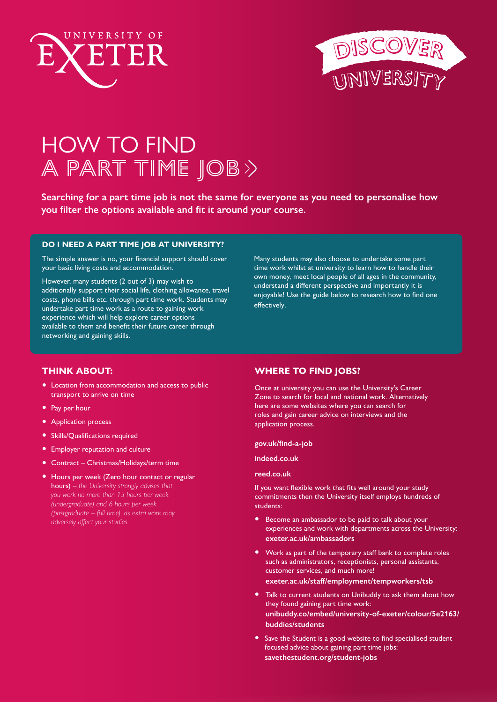



# HOW TO FIND A PART TIME JOB>>

**Searching for a part time job is not the same for everyone as you need to personalise how you filter the options available and fit it around your course.** 

#### **DO I NEED A PART TIME JOB AT UNIVERSITY?**

The simple answer is no, your financial support should cover your basic living costs and accommodation.

However, many students (2 out of 3) may wish to additionally support their social life, clothing allowance, travel costs, phone bills etc. through part time work. Students may undertake part time work as a route to gaining work experience which will help explore career options available to them and benefit their future career through networking and gaining skills.

Many students may also choose to undertake some part time work whilst at university to learn how to handle their own money, meet local people of all ages in the community, understand a different perspective and importantly it is enjoyable! Use the guide below to research how to find one effectively.

## **THINK ABOUT:**

- Location from accommodation and access to public transport to arrive on time
- Pay per hour
- Application process
- Skills/Qualifications required
- Employer reputation and culture
- Contract Christmas/Holidays/term time
- Hours per week (Zero hour contact or regular hours) *– the University strongly advises that you work no more than 15 hours per week (undergraduate) and 6 hours per week (postgraduate – full time), as extra work may adversely affect your studies.*

#### **WHERE TO FIND JOBS?**

Once at university you can use the University's Career Zone to search for local and national work. Alternatively here are some websites where you can search for roles and gain career advice on interviews and the application process.

#### **[gov.uk/find-a-job](https://www.gov.uk/find-a-job)**

**[indeed.co.uk](https://www.indeed.co.uk)**

#### **[reed.co.uk](https://www.reed.co.uk  )**

If you want flexible work that fits well around your study commitments then the University itself employs hundreds of students:

- Become an ambassador to be paid to talk about your experiences and work with departments across the University: **[exeter.ac.uk/ambassadors](http://exeter.ac.uk/ambassadors)**
- Work as part of the temporary staff bank to complete roles such as administrators, receptionists, personal assistants, customer services, and much more! **[exeter.ac.uk/staff/employment/tempworkers/tsb](http://exeter.ac.uk/staff/employment/tempworkers/tsb)**
- Talk to current students on Unibuddy to ask them about how they found gaining part time work: **[unibuddy.co/embed/university-of-exeter/colour/5e2163/](http://unibuddy.co/embed/university-of-exeter/colour/5e2163/buddies/students) [buddies/students](http://unibuddy.co/embed/university-of-exeter/colour/5e2163/buddies/students)**
- Save the Student is a good website to find specialised student focused advice about gaining part time jobs: **[savethestudent.org/student-jobs](http://savethestudent.org/student-jobs)**